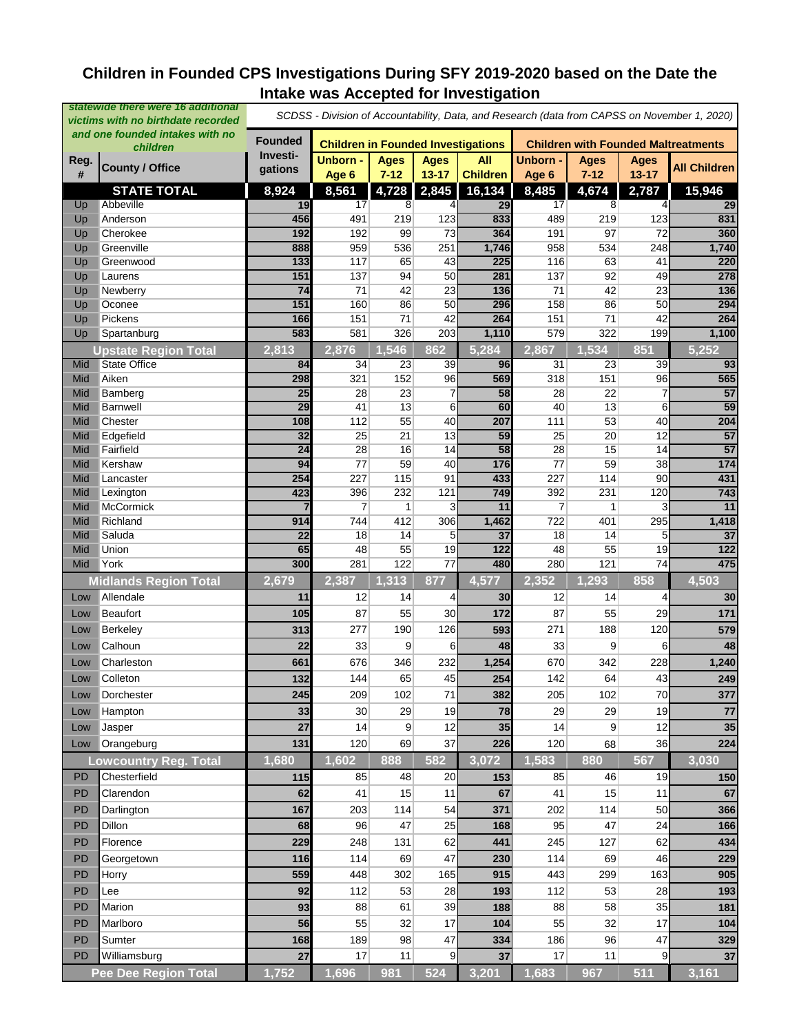# **Children in Founded CPS Investigations During SFY 2019-2020 based on the Date the Intake was Accepted for Investigation**

| and one founded intakes with no<br><b>Founded</b><br><b>Children in Founded Investigations</b><br><b>Children with Founded Maltreatments</b><br>children<br>Investi-<br>Unborn -<br>Unborn -<br><b>Ages</b><br><b>Ages</b><br><b>All</b><br><b>Ages</b><br><b>Ages</b><br>Reg.<br><b>County / Office</b><br><b>All Children</b><br>gations<br><b>Children</b><br>#<br>Age 6<br>$7 - 12$<br>$13 - 17$<br>$7 - 12$<br>$13 - 17$<br>Age 6<br>2,845<br>8,924<br>4,728<br>16,134<br>15,946<br><b>STATE TOTAL</b><br>8,561<br>8,485<br>4,674<br>2,787<br>Abbeville<br>19<br>17<br>29<br>17<br>29<br>Up<br>4<br>8<br>8<br>$\overline{4}$<br>833<br>831<br>456<br>491<br>219<br>123<br>Anderson<br>489<br>219<br>123<br>Up<br>192<br>192<br>73<br>360<br>Cherokee<br>99<br>364<br>191<br>97<br>72<br>Up<br>888<br>1,746<br>1,740<br>Greenville<br>959<br>536<br>251<br>958<br>534<br>248<br>Up<br>225<br>220<br>133<br>117<br>65<br>43<br>63<br>Greenwood<br>116<br>41<br>Up<br>50<br>151<br>137<br>94<br>137<br>92<br>278<br>Laurens<br>281<br>49<br>Up<br>23<br>71<br>$\overline{74}$<br>71<br>42<br>42<br>23<br>136<br>Newberry<br>136<br>Up<br>151<br>160<br>86<br>50<br>296<br>158<br>86<br>50<br>294<br>Oconee<br>Up<br>42<br>264<br>Pickens<br>166<br>151<br>71<br>264<br>151<br>71<br>42<br>Up<br>583<br>1,100<br>581<br>326<br>203<br>1,110<br>579<br>322<br>199<br>Spartanburg<br>Up<br>2,876<br>862<br>5,284<br>2,867<br>1,534<br>851<br>1,546<br>5,252<br><b>Upstate Region Total</b><br>2,813<br>93<br>State Office<br>84<br>34<br>23<br>39<br>96<br>31<br>23<br>39<br>Mid<br>96<br>565<br>Mid<br>Aiken<br>298<br>321<br>152<br>569<br>318<br>151<br>96<br>$\overline{7}$<br>$\overline{57}$<br>25<br>28<br>23<br>58<br>28<br>22<br>7<br>Mid<br>Bamberg<br>$\overline{59}$<br>$\overline{29}$<br>60<br>40<br>13<br>Barnwell<br>41<br>13<br>6<br>6<br>Mid<br>40<br>53<br>Mid<br>Chester<br>112<br>55<br>111<br>40<br>204<br>108<br>207<br>57<br>Edgefield<br>32<br>25<br>21<br>13<br>59<br>25<br>20<br>12<br>Mid<br>Fairfield<br>15<br>57<br>$\overline{24}$<br>28<br>16<br>14<br>58<br>28<br>14<br>Mid<br>174<br>94<br>40<br>176<br>77<br>Mid<br>Kershaw<br>77<br>59<br>59<br>38<br>254<br>431<br>227<br>115<br>91<br>433<br>227<br>114<br>Mid<br>Lancaster<br>90<br>743<br>423<br>232<br>396<br>121<br>749<br>392<br>231<br>120<br>Mid<br>Lexington<br><b>McCormick</b><br>11<br>7<br>3<br>11<br>$\overline{7}$<br>3<br>Mid<br>1<br>1<br>1,418<br>Richland<br>914<br>744<br>412<br>306<br>1,462<br>722<br>295<br>Mid<br>401<br>Mid<br>Saluda<br>5<br>37<br>22<br>18<br>14<br>37<br>18<br>14<br>5<br>Mid<br>Union<br>48<br>55<br>19<br>48<br>55<br>$\overline{122}$<br>65<br>122<br>19<br>475<br>300<br>122<br>480<br>74<br>York<br>281<br>77<br>280<br>121<br>Mid<br>877<br>2,352<br>1,293<br>858<br>4,503<br>2,679<br>2,387<br>1,313<br>4,577<br><b>Midlands Region Total</b><br>Allendale<br>11<br>12<br>14<br>4<br>30<br>12<br>14<br>4<br>30<br>Low<br>171<br>87<br>30<br>172<br>87<br><b>Beaufort</b><br>105<br>55<br>55<br>29<br>Low<br>190<br>126<br>120<br>Berkeley<br>313<br>277<br>271<br>188<br>579<br>593<br>Low<br>Calhoun<br>22<br>33<br>9<br>6<br>48<br>33<br>9<br>48<br>6<br>Low<br>1,240<br>Charleston<br>676<br>232<br>1,254<br>670<br>228<br>661<br>346<br>342<br>Low<br>249<br>Colleton<br>132<br>45<br>254<br>142<br>43<br>144<br>65<br>64<br>Low<br>70<br>209<br>102<br>71<br>205<br>102<br>245<br>382<br>Dorchester<br>377<br>Low<br>78<br>77<br>33<br>29<br>19<br>29<br>29<br>19<br>30<br>Hampton<br>Low<br>14<br>9<br>12<br>35<br>14<br>9<br>35<br>27<br>12<br>Jasper<br>Low<br>120<br>69<br>37<br>120<br>36<br>Orangeburg<br>131<br>226<br>68<br>224<br>Low<br>1,680<br>1,602<br>582<br>1,583<br>567<br>888<br>3,072<br>880<br>3,030<br>owcountry Reg. Total<br>20<br><b>PD</b><br>Chesterfield<br>115<br>85<br>48<br>85<br>46<br>19<br>153<br>150<br><b>PD</b><br>Clarendon<br>41<br>11<br>67<br>41<br>15<br>67<br>62<br>15<br>11<br>167<br>114<br>54<br>371<br>50<br>366<br>PD<br>Darlington<br>203<br>202<br>114<br>47<br>25<br>PD<br>Dillon<br>96<br>95<br>47<br>24<br>68<br>168<br>166<br>62<br>434<br>PD<br>Florence<br>229<br>441<br>62<br>248<br>131<br>245<br>127<br>47<br>229<br>PD<br>116<br>69<br>114<br>69<br>46<br>Georgetown<br>114<br>230<br>559<br>PD<br>448<br>302<br>165<br>915<br>443<br>299<br>163<br>905<br>Horry<br><b>PD</b><br>53<br>112<br>28<br>112<br>53<br>28<br>193<br>Lee<br>92<br>193<br>93<br>88<br>39<br>88<br>58<br>35<br>181<br>PD<br>Marion<br>61<br>188<br>55<br>32<br>17<br>55<br>32<br>PD<br>Marlboro<br>56<br>17<br>104<br>104<br>47<br><b>PD</b><br>189<br>98<br>186<br>96<br>47<br>Sumter<br>168<br>334<br>329<br>17<br>17<br>PD<br>27<br>11<br>9<br>11<br>37<br>Williamsburg<br>37<br>9<br>1,752<br>981<br>524<br>3,201<br>1,683<br>1,696<br>967<br>511<br>3,161<br><b>Pee Dee Region Total</b> | statewide there were 16 additional<br>victims with no birthdate recorded |  | SCDSS - Division of Accountability, Data, and Research (data from CAPSS on November 1, 2020) |  |  |  |  |  |  |  |  |
|----------------------------------------------------------------------------------------------------------------------------------------------------------------------------------------------------------------------------------------------------------------------------------------------------------------------------------------------------------------------------------------------------------------------------------------------------------------------------------------------------------------------------------------------------------------------------------------------------------------------------------------------------------------------------------------------------------------------------------------------------------------------------------------------------------------------------------------------------------------------------------------------------------------------------------------------------------------------------------------------------------------------------------------------------------------------------------------------------------------------------------------------------------------------------------------------------------------------------------------------------------------------------------------------------------------------------------------------------------------------------------------------------------------------------------------------------------------------------------------------------------------------------------------------------------------------------------------------------------------------------------------------------------------------------------------------------------------------------------------------------------------------------------------------------------------------------------------------------------------------------------------------------------------------------------------------------------------------------------------------------------------------------------------------------------------------------------------------------------------------------------------------------------------------------------------------------------------------------------------------------------------------------------------------------------------------------------------------------------------------------------------------------------------------------------------------------------------------------------------------------------------------------------------------------------------------------------------------------------------------------------------------------------------------------------------------------------------------------------------------------------------------------------------------------------------------------------------------------------------------------------------------------------------------------------------------------------------------------------------------------------------------------------------------------------------------------------------------------------------------------------------------------------------------------------------------------------------------------------------------------------------------------------------------------------------------------------------------------------------------------------------------------------------------------------------------------------------------------------------------------------------------------------------------------------------------------------------------------------------------------------------------------------------------------------------------------------------------------------------------------------------------------------------------------------------------------------------------------------------------------------------------------------------------------------------------------------------------------------------------------------------------------------------------------------------------------------------------------------------------------------------------------------------------------------------------------------------------------------------------------------------------------------------------------------------------------------------------------------------------------------------------------------------------------------------------------------------------------------------------------------------------------------------------------------------------------------------------------------------------------------------------------------------------------------------------------------------------------------------------------------------------------------------------------------------------------------------------------------------------------|--------------------------------------------------------------------------|--|----------------------------------------------------------------------------------------------|--|--|--|--|--|--|--|--|
|                                                                                                                                                                                                                                                                                                                                                                                                                                                                                                                                                                                                                                                                                                                                                                                                                                                                                                                                                                                                                                                                                                                                                                                                                                                                                                                                                                                                                                                                                                                                                                                                                                                                                                                                                                                                                                                                                                                                                                                                                                                                                                                                                                                                                                                                                                                                                                                                                                                                                                                                                                                                                                                                                                                                                                                                                                                                                                                                                                                                                                                                                                                                                                                                                                                                                                                                                                                                                                                                                                                                                                                                                                                                                                                                                                                                                                                                                                                                                                                                                                                                                                                                                                                                                                                                                                                                                                                                                                                                                                                                                                                                                                                                                                                                                                                                                                                                            |                                                                          |  |                                                                                              |  |  |  |  |  |  |  |  |
|                                                                                                                                                                                                                                                                                                                                                                                                                                                                                                                                                                                                                                                                                                                                                                                                                                                                                                                                                                                                                                                                                                                                                                                                                                                                                                                                                                                                                                                                                                                                                                                                                                                                                                                                                                                                                                                                                                                                                                                                                                                                                                                                                                                                                                                                                                                                                                                                                                                                                                                                                                                                                                                                                                                                                                                                                                                                                                                                                                                                                                                                                                                                                                                                                                                                                                                                                                                                                                                                                                                                                                                                                                                                                                                                                                                                                                                                                                                                                                                                                                                                                                                                                                                                                                                                                                                                                                                                                                                                                                                                                                                                                                                                                                                                                                                                                                                                            |                                                                          |  |                                                                                              |  |  |  |  |  |  |  |  |
|                                                                                                                                                                                                                                                                                                                                                                                                                                                                                                                                                                                                                                                                                                                                                                                                                                                                                                                                                                                                                                                                                                                                                                                                                                                                                                                                                                                                                                                                                                                                                                                                                                                                                                                                                                                                                                                                                                                                                                                                                                                                                                                                                                                                                                                                                                                                                                                                                                                                                                                                                                                                                                                                                                                                                                                                                                                                                                                                                                                                                                                                                                                                                                                                                                                                                                                                                                                                                                                                                                                                                                                                                                                                                                                                                                                                                                                                                                                                                                                                                                                                                                                                                                                                                                                                                                                                                                                                                                                                                                                                                                                                                                                                                                                                                                                                                                                                            |                                                                          |  |                                                                                              |  |  |  |  |  |  |  |  |
|                                                                                                                                                                                                                                                                                                                                                                                                                                                                                                                                                                                                                                                                                                                                                                                                                                                                                                                                                                                                                                                                                                                                                                                                                                                                                                                                                                                                                                                                                                                                                                                                                                                                                                                                                                                                                                                                                                                                                                                                                                                                                                                                                                                                                                                                                                                                                                                                                                                                                                                                                                                                                                                                                                                                                                                                                                                                                                                                                                                                                                                                                                                                                                                                                                                                                                                                                                                                                                                                                                                                                                                                                                                                                                                                                                                                                                                                                                                                                                                                                                                                                                                                                                                                                                                                                                                                                                                                                                                                                                                                                                                                                                                                                                                                                                                                                                                                            |                                                                          |  |                                                                                              |  |  |  |  |  |  |  |  |
|                                                                                                                                                                                                                                                                                                                                                                                                                                                                                                                                                                                                                                                                                                                                                                                                                                                                                                                                                                                                                                                                                                                                                                                                                                                                                                                                                                                                                                                                                                                                                                                                                                                                                                                                                                                                                                                                                                                                                                                                                                                                                                                                                                                                                                                                                                                                                                                                                                                                                                                                                                                                                                                                                                                                                                                                                                                                                                                                                                                                                                                                                                                                                                                                                                                                                                                                                                                                                                                                                                                                                                                                                                                                                                                                                                                                                                                                                                                                                                                                                                                                                                                                                                                                                                                                                                                                                                                                                                                                                                                                                                                                                                                                                                                                                                                                                                                                            |                                                                          |  |                                                                                              |  |  |  |  |  |  |  |  |
|                                                                                                                                                                                                                                                                                                                                                                                                                                                                                                                                                                                                                                                                                                                                                                                                                                                                                                                                                                                                                                                                                                                                                                                                                                                                                                                                                                                                                                                                                                                                                                                                                                                                                                                                                                                                                                                                                                                                                                                                                                                                                                                                                                                                                                                                                                                                                                                                                                                                                                                                                                                                                                                                                                                                                                                                                                                                                                                                                                                                                                                                                                                                                                                                                                                                                                                                                                                                                                                                                                                                                                                                                                                                                                                                                                                                                                                                                                                                                                                                                                                                                                                                                                                                                                                                                                                                                                                                                                                                                                                                                                                                                                                                                                                                                                                                                                                                            |                                                                          |  |                                                                                              |  |  |  |  |  |  |  |  |
|                                                                                                                                                                                                                                                                                                                                                                                                                                                                                                                                                                                                                                                                                                                                                                                                                                                                                                                                                                                                                                                                                                                                                                                                                                                                                                                                                                                                                                                                                                                                                                                                                                                                                                                                                                                                                                                                                                                                                                                                                                                                                                                                                                                                                                                                                                                                                                                                                                                                                                                                                                                                                                                                                                                                                                                                                                                                                                                                                                                                                                                                                                                                                                                                                                                                                                                                                                                                                                                                                                                                                                                                                                                                                                                                                                                                                                                                                                                                                                                                                                                                                                                                                                                                                                                                                                                                                                                                                                                                                                                                                                                                                                                                                                                                                                                                                                                                            |                                                                          |  |                                                                                              |  |  |  |  |  |  |  |  |
|                                                                                                                                                                                                                                                                                                                                                                                                                                                                                                                                                                                                                                                                                                                                                                                                                                                                                                                                                                                                                                                                                                                                                                                                                                                                                                                                                                                                                                                                                                                                                                                                                                                                                                                                                                                                                                                                                                                                                                                                                                                                                                                                                                                                                                                                                                                                                                                                                                                                                                                                                                                                                                                                                                                                                                                                                                                                                                                                                                                                                                                                                                                                                                                                                                                                                                                                                                                                                                                                                                                                                                                                                                                                                                                                                                                                                                                                                                                                                                                                                                                                                                                                                                                                                                                                                                                                                                                                                                                                                                                                                                                                                                                                                                                                                                                                                                                                            |                                                                          |  |                                                                                              |  |  |  |  |  |  |  |  |
|                                                                                                                                                                                                                                                                                                                                                                                                                                                                                                                                                                                                                                                                                                                                                                                                                                                                                                                                                                                                                                                                                                                                                                                                                                                                                                                                                                                                                                                                                                                                                                                                                                                                                                                                                                                                                                                                                                                                                                                                                                                                                                                                                                                                                                                                                                                                                                                                                                                                                                                                                                                                                                                                                                                                                                                                                                                                                                                                                                                                                                                                                                                                                                                                                                                                                                                                                                                                                                                                                                                                                                                                                                                                                                                                                                                                                                                                                                                                                                                                                                                                                                                                                                                                                                                                                                                                                                                                                                                                                                                                                                                                                                                                                                                                                                                                                                                                            |                                                                          |  |                                                                                              |  |  |  |  |  |  |  |  |
|                                                                                                                                                                                                                                                                                                                                                                                                                                                                                                                                                                                                                                                                                                                                                                                                                                                                                                                                                                                                                                                                                                                                                                                                                                                                                                                                                                                                                                                                                                                                                                                                                                                                                                                                                                                                                                                                                                                                                                                                                                                                                                                                                                                                                                                                                                                                                                                                                                                                                                                                                                                                                                                                                                                                                                                                                                                                                                                                                                                                                                                                                                                                                                                                                                                                                                                                                                                                                                                                                                                                                                                                                                                                                                                                                                                                                                                                                                                                                                                                                                                                                                                                                                                                                                                                                                                                                                                                                                                                                                                                                                                                                                                                                                                                                                                                                                                                            |                                                                          |  |                                                                                              |  |  |  |  |  |  |  |  |
|                                                                                                                                                                                                                                                                                                                                                                                                                                                                                                                                                                                                                                                                                                                                                                                                                                                                                                                                                                                                                                                                                                                                                                                                                                                                                                                                                                                                                                                                                                                                                                                                                                                                                                                                                                                                                                                                                                                                                                                                                                                                                                                                                                                                                                                                                                                                                                                                                                                                                                                                                                                                                                                                                                                                                                                                                                                                                                                                                                                                                                                                                                                                                                                                                                                                                                                                                                                                                                                                                                                                                                                                                                                                                                                                                                                                                                                                                                                                                                                                                                                                                                                                                                                                                                                                                                                                                                                                                                                                                                                                                                                                                                                                                                                                                                                                                                                                            |                                                                          |  |                                                                                              |  |  |  |  |  |  |  |  |
|                                                                                                                                                                                                                                                                                                                                                                                                                                                                                                                                                                                                                                                                                                                                                                                                                                                                                                                                                                                                                                                                                                                                                                                                                                                                                                                                                                                                                                                                                                                                                                                                                                                                                                                                                                                                                                                                                                                                                                                                                                                                                                                                                                                                                                                                                                                                                                                                                                                                                                                                                                                                                                                                                                                                                                                                                                                                                                                                                                                                                                                                                                                                                                                                                                                                                                                                                                                                                                                                                                                                                                                                                                                                                                                                                                                                                                                                                                                                                                                                                                                                                                                                                                                                                                                                                                                                                                                                                                                                                                                                                                                                                                                                                                                                                                                                                                                                            |                                                                          |  |                                                                                              |  |  |  |  |  |  |  |  |
|                                                                                                                                                                                                                                                                                                                                                                                                                                                                                                                                                                                                                                                                                                                                                                                                                                                                                                                                                                                                                                                                                                                                                                                                                                                                                                                                                                                                                                                                                                                                                                                                                                                                                                                                                                                                                                                                                                                                                                                                                                                                                                                                                                                                                                                                                                                                                                                                                                                                                                                                                                                                                                                                                                                                                                                                                                                                                                                                                                                                                                                                                                                                                                                                                                                                                                                                                                                                                                                                                                                                                                                                                                                                                                                                                                                                                                                                                                                                                                                                                                                                                                                                                                                                                                                                                                                                                                                                                                                                                                                                                                                                                                                                                                                                                                                                                                                                            |                                                                          |  |                                                                                              |  |  |  |  |  |  |  |  |
|                                                                                                                                                                                                                                                                                                                                                                                                                                                                                                                                                                                                                                                                                                                                                                                                                                                                                                                                                                                                                                                                                                                                                                                                                                                                                                                                                                                                                                                                                                                                                                                                                                                                                                                                                                                                                                                                                                                                                                                                                                                                                                                                                                                                                                                                                                                                                                                                                                                                                                                                                                                                                                                                                                                                                                                                                                                                                                                                                                                                                                                                                                                                                                                                                                                                                                                                                                                                                                                                                                                                                                                                                                                                                                                                                                                                                                                                                                                                                                                                                                                                                                                                                                                                                                                                                                                                                                                                                                                                                                                                                                                                                                                                                                                                                                                                                                                                            |                                                                          |  |                                                                                              |  |  |  |  |  |  |  |  |
|                                                                                                                                                                                                                                                                                                                                                                                                                                                                                                                                                                                                                                                                                                                                                                                                                                                                                                                                                                                                                                                                                                                                                                                                                                                                                                                                                                                                                                                                                                                                                                                                                                                                                                                                                                                                                                                                                                                                                                                                                                                                                                                                                                                                                                                                                                                                                                                                                                                                                                                                                                                                                                                                                                                                                                                                                                                                                                                                                                                                                                                                                                                                                                                                                                                                                                                                                                                                                                                                                                                                                                                                                                                                                                                                                                                                                                                                                                                                                                                                                                                                                                                                                                                                                                                                                                                                                                                                                                                                                                                                                                                                                                                                                                                                                                                                                                                                            |                                                                          |  |                                                                                              |  |  |  |  |  |  |  |  |
|                                                                                                                                                                                                                                                                                                                                                                                                                                                                                                                                                                                                                                                                                                                                                                                                                                                                                                                                                                                                                                                                                                                                                                                                                                                                                                                                                                                                                                                                                                                                                                                                                                                                                                                                                                                                                                                                                                                                                                                                                                                                                                                                                                                                                                                                                                                                                                                                                                                                                                                                                                                                                                                                                                                                                                                                                                                                                                                                                                                                                                                                                                                                                                                                                                                                                                                                                                                                                                                                                                                                                                                                                                                                                                                                                                                                                                                                                                                                                                                                                                                                                                                                                                                                                                                                                                                                                                                                                                                                                                                                                                                                                                                                                                                                                                                                                                                                            |                                                                          |  |                                                                                              |  |  |  |  |  |  |  |  |
|                                                                                                                                                                                                                                                                                                                                                                                                                                                                                                                                                                                                                                                                                                                                                                                                                                                                                                                                                                                                                                                                                                                                                                                                                                                                                                                                                                                                                                                                                                                                                                                                                                                                                                                                                                                                                                                                                                                                                                                                                                                                                                                                                                                                                                                                                                                                                                                                                                                                                                                                                                                                                                                                                                                                                                                                                                                                                                                                                                                                                                                                                                                                                                                                                                                                                                                                                                                                                                                                                                                                                                                                                                                                                                                                                                                                                                                                                                                                                                                                                                                                                                                                                                                                                                                                                                                                                                                                                                                                                                                                                                                                                                                                                                                                                                                                                                                                            |                                                                          |  |                                                                                              |  |  |  |  |  |  |  |  |
|                                                                                                                                                                                                                                                                                                                                                                                                                                                                                                                                                                                                                                                                                                                                                                                                                                                                                                                                                                                                                                                                                                                                                                                                                                                                                                                                                                                                                                                                                                                                                                                                                                                                                                                                                                                                                                                                                                                                                                                                                                                                                                                                                                                                                                                                                                                                                                                                                                                                                                                                                                                                                                                                                                                                                                                                                                                                                                                                                                                                                                                                                                                                                                                                                                                                                                                                                                                                                                                                                                                                                                                                                                                                                                                                                                                                                                                                                                                                                                                                                                                                                                                                                                                                                                                                                                                                                                                                                                                                                                                                                                                                                                                                                                                                                                                                                                                                            |                                                                          |  |                                                                                              |  |  |  |  |  |  |  |  |
|                                                                                                                                                                                                                                                                                                                                                                                                                                                                                                                                                                                                                                                                                                                                                                                                                                                                                                                                                                                                                                                                                                                                                                                                                                                                                                                                                                                                                                                                                                                                                                                                                                                                                                                                                                                                                                                                                                                                                                                                                                                                                                                                                                                                                                                                                                                                                                                                                                                                                                                                                                                                                                                                                                                                                                                                                                                                                                                                                                                                                                                                                                                                                                                                                                                                                                                                                                                                                                                                                                                                                                                                                                                                                                                                                                                                                                                                                                                                                                                                                                                                                                                                                                                                                                                                                                                                                                                                                                                                                                                                                                                                                                                                                                                                                                                                                                                                            |                                                                          |  |                                                                                              |  |  |  |  |  |  |  |  |
|                                                                                                                                                                                                                                                                                                                                                                                                                                                                                                                                                                                                                                                                                                                                                                                                                                                                                                                                                                                                                                                                                                                                                                                                                                                                                                                                                                                                                                                                                                                                                                                                                                                                                                                                                                                                                                                                                                                                                                                                                                                                                                                                                                                                                                                                                                                                                                                                                                                                                                                                                                                                                                                                                                                                                                                                                                                                                                                                                                                                                                                                                                                                                                                                                                                                                                                                                                                                                                                                                                                                                                                                                                                                                                                                                                                                                                                                                                                                                                                                                                                                                                                                                                                                                                                                                                                                                                                                                                                                                                                                                                                                                                                                                                                                                                                                                                                                            |                                                                          |  |                                                                                              |  |  |  |  |  |  |  |  |
|                                                                                                                                                                                                                                                                                                                                                                                                                                                                                                                                                                                                                                                                                                                                                                                                                                                                                                                                                                                                                                                                                                                                                                                                                                                                                                                                                                                                                                                                                                                                                                                                                                                                                                                                                                                                                                                                                                                                                                                                                                                                                                                                                                                                                                                                                                                                                                                                                                                                                                                                                                                                                                                                                                                                                                                                                                                                                                                                                                                                                                                                                                                                                                                                                                                                                                                                                                                                                                                                                                                                                                                                                                                                                                                                                                                                                                                                                                                                                                                                                                                                                                                                                                                                                                                                                                                                                                                                                                                                                                                                                                                                                                                                                                                                                                                                                                                                            |                                                                          |  |                                                                                              |  |  |  |  |  |  |  |  |
|                                                                                                                                                                                                                                                                                                                                                                                                                                                                                                                                                                                                                                                                                                                                                                                                                                                                                                                                                                                                                                                                                                                                                                                                                                                                                                                                                                                                                                                                                                                                                                                                                                                                                                                                                                                                                                                                                                                                                                                                                                                                                                                                                                                                                                                                                                                                                                                                                                                                                                                                                                                                                                                                                                                                                                                                                                                                                                                                                                                                                                                                                                                                                                                                                                                                                                                                                                                                                                                                                                                                                                                                                                                                                                                                                                                                                                                                                                                                                                                                                                                                                                                                                                                                                                                                                                                                                                                                                                                                                                                                                                                                                                                                                                                                                                                                                                                                            |                                                                          |  |                                                                                              |  |  |  |  |  |  |  |  |
|                                                                                                                                                                                                                                                                                                                                                                                                                                                                                                                                                                                                                                                                                                                                                                                                                                                                                                                                                                                                                                                                                                                                                                                                                                                                                                                                                                                                                                                                                                                                                                                                                                                                                                                                                                                                                                                                                                                                                                                                                                                                                                                                                                                                                                                                                                                                                                                                                                                                                                                                                                                                                                                                                                                                                                                                                                                                                                                                                                                                                                                                                                                                                                                                                                                                                                                                                                                                                                                                                                                                                                                                                                                                                                                                                                                                                                                                                                                                                                                                                                                                                                                                                                                                                                                                                                                                                                                                                                                                                                                                                                                                                                                                                                                                                                                                                                                                            |                                                                          |  |                                                                                              |  |  |  |  |  |  |  |  |
|                                                                                                                                                                                                                                                                                                                                                                                                                                                                                                                                                                                                                                                                                                                                                                                                                                                                                                                                                                                                                                                                                                                                                                                                                                                                                                                                                                                                                                                                                                                                                                                                                                                                                                                                                                                                                                                                                                                                                                                                                                                                                                                                                                                                                                                                                                                                                                                                                                                                                                                                                                                                                                                                                                                                                                                                                                                                                                                                                                                                                                                                                                                                                                                                                                                                                                                                                                                                                                                                                                                                                                                                                                                                                                                                                                                                                                                                                                                                                                                                                                                                                                                                                                                                                                                                                                                                                                                                                                                                                                                                                                                                                                                                                                                                                                                                                                                                            |                                                                          |  |                                                                                              |  |  |  |  |  |  |  |  |
|                                                                                                                                                                                                                                                                                                                                                                                                                                                                                                                                                                                                                                                                                                                                                                                                                                                                                                                                                                                                                                                                                                                                                                                                                                                                                                                                                                                                                                                                                                                                                                                                                                                                                                                                                                                                                                                                                                                                                                                                                                                                                                                                                                                                                                                                                                                                                                                                                                                                                                                                                                                                                                                                                                                                                                                                                                                                                                                                                                                                                                                                                                                                                                                                                                                                                                                                                                                                                                                                                                                                                                                                                                                                                                                                                                                                                                                                                                                                                                                                                                                                                                                                                                                                                                                                                                                                                                                                                                                                                                                                                                                                                                                                                                                                                                                                                                                                            |                                                                          |  |                                                                                              |  |  |  |  |  |  |  |  |
|                                                                                                                                                                                                                                                                                                                                                                                                                                                                                                                                                                                                                                                                                                                                                                                                                                                                                                                                                                                                                                                                                                                                                                                                                                                                                                                                                                                                                                                                                                                                                                                                                                                                                                                                                                                                                                                                                                                                                                                                                                                                                                                                                                                                                                                                                                                                                                                                                                                                                                                                                                                                                                                                                                                                                                                                                                                                                                                                                                                                                                                                                                                                                                                                                                                                                                                                                                                                                                                                                                                                                                                                                                                                                                                                                                                                                                                                                                                                                                                                                                                                                                                                                                                                                                                                                                                                                                                                                                                                                                                                                                                                                                                                                                                                                                                                                                                                            |                                                                          |  |                                                                                              |  |  |  |  |  |  |  |  |
|                                                                                                                                                                                                                                                                                                                                                                                                                                                                                                                                                                                                                                                                                                                                                                                                                                                                                                                                                                                                                                                                                                                                                                                                                                                                                                                                                                                                                                                                                                                                                                                                                                                                                                                                                                                                                                                                                                                                                                                                                                                                                                                                                                                                                                                                                                                                                                                                                                                                                                                                                                                                                                                                                                                                                                                                                                                                                                                                                                                                                                                                                                                                                                                                                                                                                                                                                                                                                                                                                                                                                                                                                                                                                                                                                                                                                                                                                                                                                                                                                                                                                                                                                                                                                                                                                                                                                                                                                                                                                                                                                                                                                                                                                                                                                                                                                                                                            |                                                                          |  |                                                                                              |  |  |  |  |  |  |  |  |
|                                                                                                                                                                                                                                                                                                                                                                                                                                                                                                                                                                                                                                                                                                                                                                                                                                                                                                                                                                                                                                                                                                                                                                                                                                                                                                                                                                                                                                                                                                                                                                                                                                                                                                                                                                                                                                                                                                                                                                                                                                                                                                                                                                                                                                                                                                                                                                                                                                                                                                                                                                                                                                                                                                                                                                                                                                                                                                                                                                                                                                                                                                                                                                                                                                                                                                                                                                                                                                                                                                                                                                                                                                                                                                                                                                                                                                                                                                                                                                                                                                                                                                                                                                                                                                                                                                                                                                                                                                                                                                                                                                                                                                                                                                                                                                                                                                                                            |                                                                          |  |                                                                                              |  |  |  |  |  |  |  |  |
|                                                                                                                                                                                                                                                                                                                                                                                                                                                                                                                                                                                                                                                                                                                                                                                                                                                                                                                                                                                                                                                                                                                                                                                                                                                                                                                                                                                                                                                                                                                                                                                                                                                                                                                                                                                                                                                                                                                                                                                                                                                                                                                                                                                                                                                                                                                                                                                                                                                                                                                                                                                                                                                                                                                                                                                                                                                                                                                                                                                                                                                                                                                                                                                                                                                                                                                                                                                                                                                                                                                                                                                                                                                                                                                                                                                                                                                                                                                                                                                                                                                                                                                                                                                                                                                                                                                                                                                                                                                                                                                                                                                                                                                                                                                                                                                                                                                                            |                                                                          |  |                                                                                              |  |  |  |  |  |  |  |  |
|                                                                                                                                                                                                                                                                                                                                                                                                                                                                                                                                                                                                                                                                                                                                                                                                                                                                                                                                                                                                                                                                                                                                                                                                                                                                                                                                                                                                                                                                                                                                                                                                                                                                                                                                                                                                                                                                                                                                                                                                                                                                                                                                                                                                                                                                                                                                                                                                                                                                                                                                                                                                                                                                                                                                                                                                                                                                                                                                                                                                                                                                                                                                                                                                                                                                                                                                                                                                                                                                                                                                                                                                                                                                                                                                                                                                                                                                                                                                                                                                                                                                                                                                                                                                                                                                                                                                                                                                                                                                                                                                                                                                                                                                                                                                                                                                                                                                            |                                                                          |  |                                                                                              |  |  |  |  |  |  |  |  |
|                                                                                                                                                                                                                                                                                                                                                                                                                                                                                                                                                                                                                                                                                                                                                                                                                                                                                                                                                                                                                                                                                                                                                                                                                                                                                                                                                                                                                                                                                                                                                                                                                                                                                                                                                                                                                                                                                                                                                                                                                                                                                                                                                                                                                                                                                                                                                                                                                                                                                                                                                                                                                                                                                                                                                                                                                                                                                                                                                                                                                                                                                                                                                                                                                                                                                                                                                                                                                                                                                                                                                                                                                                                                                                                                                                                                                                                                                                                                                                                                                                                                                                                                                                                                                                                                                                                                                                                                                                                                                                                                                                                                                                                                                                                                                                                                                                                                            |                                                                          |  |                                                                                              |  |  |  |  |  |  |  |  |
|                                                                                                                                                                                                                                                                                                                                                                                                                                                                                                                                                                                                                                                                                                                                                                                                                                                                                                                                                                                                                                                                                                                                                                                                                                                                                                                                                                                                                                                                                                                                                                                                                                                                                                                                                                                                                                                                                                                                                                                                                                                                                                                                                                                                                                                                                                                                                                                                                                                                                                                                                                                                                                                                                                                                                                                                                                                                                                                                                                                                                                                                                                                                                                                                                                                                                                                                                                                                                                                                                                                                                                                                                                                                                                                                                                                                                                                                                                                                                                                                                                                                                                                                                                                                                                                                                                                                                                                                                                                                                                                                                                                                                                                                                                                                                                                                                                                                            |                                                                          |  |                                                                                              |  |  |  |  |  |  |  |  |
|                                                                                                                                                                                                                                                                                                                                                                                                                                                                                                                                                                                                                                                                                                                                                                                                                                                                                                                                                                                                                                                                                                                                                                                                                                                                                                                                                                                                                                                                                                                                                                                                                                                                                                                                                                                                                                                                                                                                                                                                                                                                                                                                                                                                                                                                                                                                                                                                                                                                                                                                                                                                                                                                                                                                                                                                                                                                                                                                                                                                                                                                                                                                                                                                                                                                                                                                                                                                                                                                                                                                                                                                                                                                                                                                                                                                                                                                                                                                                                                                                                                                                                                                                                                                                                                                                                                                                                                                                                                                                                                                                                                                                                                                                                                                                                                                                                                                            |                                                                          |  |                                                                                              |  |  |  |  |  |  |  |  |
|                                                                                                                                                                                                                                                                                                                                                                                                                                                                                                                                                                                                                                                                                                                                                                                                                                                                                                                                                                                                                                                                                                                                                                                                                                                                                                                                                                                                                                                                                                                                                                                                                                                                                                                                                                                                                                                                                                                                                                                                                                                                                                                                                                                                                                                                                                                                                                                                                                                                                                                                                                                                                                                                                                                                                                                                                                                                                                                                                                                                                                                                                                                                                                                                                                                                                                                                                                                                                                                                                                                                                                                                                                                                                                                                                                                                                                                                                                                                                                                                                                                                                                                                                                                                                                                                                                                                                                                                                                                                                                                                                                                                                                                                                                                                                                                                                                                                            |                                                                          |  |                                                                                              |  |  |  |  |  |  |  |  |
|                                                                                                                                                                                                                                                                                                                                                                                                                                                                                                                                                                                                                                                                                                                                                                                                                                                                                                                                                                                                                                                                                                                                                                                                                                                                                                                                                                                                                                                                                                                                                                                                                                                                                                                                                                                                                                                                                                                                                                                                                                                                                                                                                                                                                                                                                                                                                                                                                                                                                                                                                                                                                                                                                                                                                                                                                                                                                                                                                                                                                                                                                                                                                                                                                                                                                                                                                                                                                                                                                                                                                                                                                                                                                                                                                                                                                                                                                                                                                                                                                                                                                                                                                                                                                                                                                                                                                                                                                                                                                                                                                                                                                                                                                                                                                                                                                                                                            |                                                                          |  |                                                                                              |  |  |  |  |  |  |  |  |
|                                                                                                                                                                                                                                                                                                                                                                                                                                                                                                                                                                                                                                                                                                                                                                                                                                                                                                                                                                                                                                                                                                                                                                                                                                                                                                                                                                                                                                                                                                                                                                                                                                                                                                                                                                                                                                                                                                                                                                                                                                                                                                                                                                                                                                                                                                                                                                                                                                                                                                                                                                                                                                                                                                                                                                                                                                                                                                                                                                                                                                                                                                                                                                                                                                                                                                                                                                                                                                                                                                                                                                                                                                                                                                                                                                                                                                                                                                                                                                                                                                                                                                                                                                                                                                                                                                                                                                                                                                                                                                                                                                                                                                                                                                                                                                                                                                                                            |                                                                          |  |                                                                                              |  |  |  |  |  |  |  |  |
|                                                                                                                                                                                                                                                                                                                                                                                                                                                                                                                                                                                                                                                                                                                                                                                                                                                                                                                                                                                                                                                                                                                                                                                                                                                                                                                                                                                                                                                                                                                                                                                                                                                                                                                                                                                                                                                                                                                                                                                                                                                                                                                                                                                                                                                                                                                                                                                                                                                                                                                                                                                                                                                                                                                                                                                                                                                                                                                                                                                                                                                                                                                                                                                                                                                                                                                                                                                                                                                                                                                                                                                                                                                                                                                                                                                                                                                                                                                                                                                                                                                                                                                                                                                                                                                                                                                                                                                                                                                                                                                                                                                                                                                                                                                                                                                                                                                                            |                                                                          |  |                                                                                              |  |  |  |  |  |  |  |  |
|                                                                                                                                                                                                                                                                                                                                                                                                                                                                                                                                                                                                                                                                                                                                                                                                                                                                                                                                                                                                                                                                                                                                                                                                                                                                                                                                                                                                                                                                                                                                                                                                                                                                                                                                                                                                                                                                                                                                                                                                                                                                                                                                                                                                                                                                                                                                                                                                                                                                                                                                                                                                                                                                                                                                                                                                                                                                                                                                                                                                                                                                                                                                                                                                                                                                                                                                                                                                                                                                                                                                                                                                                                                                                                                                                                                                                                                                                                                                                                                                                                                                                                                                                                                                                                                                                                                                                                                                                                                                                                                                                                                                                                                                                                                                                                                                                                                                            |                                                                          |  |                                                                                              |  |  |  |  |  |  |  |  |
|                                                                                                                                                                                                                                                                                                                                                                                                                                                                                                                                                                                                                                                                                                                                                                                                                                                                                                                                                                                                                                                                                                                                                                                                                                                                                                                                                                                                                                                                                                                                                                                                                                                                                                                                                                                                                                                                                                                                                                                                                                                                                                                                                                                                                                                                                                                                                                                                                                                                                                                                                                                                                                                                                                                                                                                                                                                                                                                                                                                                                                                                                                                                                                                                                                                                                                                                                                                                                                                                                                                                                                                                                                                                                                                                                                                                                                                                                                                                                                                                                                                                                                                                                                                                                                                                                                                                                                                                                                                                                                                                                                                                                                                                                                                                                                                                                                                                            |                                                                          |  |                                                                                              |  |  |  |  |  |  |  |  |
|                                                                                                                                                                                                                                                                                                                                                                                                                                                                                                                                                                                                                                                                                                                                                                                                                                                                                                                                                                                                                                                                                                                                                                                                                                                                                                                                                                                                                                                                                                                                                                                                                                                                                                                                                                                                                                                                                                                                                                                                                                                                                                                                                                                                                                                                                                                                                                                                                                                                                                                                                                                                                                                                                                                                                                                                                                                                                                                                                                                                                                                                                                                                                                                                                                                                                                                                                                                                                                                                                                                                                                                                                                                                                                                                                                                                                                                                                                                                                                                                                                                                                                                                                                                                                                                                                                                                                                                                                                                                                                                                                                                                                                                                                                                                                                                                                                                                            |                                                                          |  |                                                                                              |  |  |  |  |  |  |  |  |
|                                                                                                                                                                                                                                                                                                                                                                                                                                                                                                                                                                                                                                                                                                                                                                                                                                                                                                                                                                                                                                                                                                                                                                                                                                                                                                                                                                                                                                                                                                                                                                                                                                                                                                                                                                                                                                                                                                                                                                                                                                                                                                                                                                                                                                                                                                                                                                                                                                                                                                                                                                                                                                                                                                                                                                                                                                                                                                                                                                                                                                                                                                                                                                                                                                                                                                                                                                                                                                                                                                                                                                                                                                                                                                                                                                                                                                                                                                                                                                                                                                                                                                                                                                                                                                                                                                                                                                                                                                                                                                                                                                                                                                                                                                                                                                                                                                                                            |                                                                          |  |                                                                                              |  |  |  |  |  |  |  |  |
|                                                                                                                                                                                                                                                                                                                                                                                                                                                                                                                                                                                                                                                                                                                                                                                                                                                                                                                                                                                                                                                                                                                                                                                                                                                                                                                                                                                                                                                                                                                                                                                                                                                                                                                                                                                                                                                                                                                                                                                                                                                                                                                                                                                                                                                                                                                                                                                                                                                                                                                                                                                                                                                                                                                                                                                                                                                                                                                                                                                                                                                                                                                                                                                                                                                                                                                                                                                                                                                                                                                                                                                                                                                                                                                                                                                                                                                                                                                                                                                                                                                                                                                                                                                                                                                                                                                                                                                                                                                                                                                                                                                                                                                                                                                                                                                                                                                                            |                                                                          |  |                                                                                              |  |  |  |  |  |  |  |  |
|                                                                                                                                                                                                                                                                                                                                                                                                                                                                                                                                                                                                                                                                                                                                                                                                                                                                                                                                                                                                                                                                                                                                                                                                                                                                                                                                                                                                                                                                                                                                                                                                                                                                                                                                                                                                                                                                                                                                                                                                                                                                                                                                                                                                                                                                                                                                                                                                                                                                                                                                                                                                                                                                                                                                                                                                                                                                                                                                                                                                                                                                                                                                                                                                                                                                                                                                                                                                                                                                                                                                                                                                                                                                                                                                                                                                                                                                                                                                                                                                                                                                                                                                                                                                                                                                                                                                                                                                                                                                                                                                                                                                                                                                                                                                                                                                                                                                            |                                                                          |  |                                                                                              |  |  |  |  |  |  |  |  |
|                                                                                                                                                                                                                                                                                                                                                                                                                                                                                                                                                                                                                                                                                                                                                                                                                                                                                                                                                                                                                                                                                                                                                                                                                                                                                                                                                                                                                                                                                                                                                                                                                                                                                                                                                                                                                                                                                                                                                                                                                                                                                                                                                                                                                                                                                                                                                                                                                                                                                                                                                                                                                                                                                                                                                                                                                                                                                                                                                                                                                                                                                                                                                                                                                                                                                                                                                                                                                                                                                                                                                                                                                                                                                                                                                                                                                                                                                                                                                                                                                                                                                                                                                                                                                                                                                                                                                                                                                                                                                                                                                                                                                                                                                                                                                                                                                                                                            |                                                                          |  |                                                                                              |  |  |  |  |  |  |  |  |
|                                                                                                                                                                                                                                                                                                                                                                                                                                                                                                                                                                                                                                                                                                                                                                                                                                                                                                                                                                                                                                                                                                                                                                                                                                                                                                                                                                                                                                                                                                                                                                                                                                                                                                                                                                                                                                                                                                                                                                                                                                                                                                                                                                                                                                                                                                                                                                                                                                                                                                                                                                                                                                                                                                                                                                                                                                                                                                                                                                                                                                                                                                                                                                                                                                                                                                                                                                                                                                                                                                                                                                                                                                                                                                                                                                                                                                                                                                                                                                                                                                                                                                                                                                                                                                                                                                                                                                                                                                                                                                                                                                                                                                                                                                                                                                                                                                                                            |                                                                          |  |                                                                                              |  |  |  |  |  |  |  |  |
|                                                                                                                                                                                                                                                                                                                                                                                                                                                                                                                                                                                                                                                                                                                                                                                                                                                                                                                                                                                                                                                                                                                                                                                                                                                                                                                                                                                                                                                                                                                                                                                                                                                                                                                                                                                                                                                                                                                                                                                                                                                                                                                                                                                                                                                                                                                                                                                                                                                                                                                                                                                                                                                                                                                                                                                                                                                                                                                                                                                                                                                                                                                                                                                                                                                                                                                                                                                                                                                                                                                                                                                                                                                                                                                                                                                                                                                                                                                                                                                                                                                                                                                                                                                                                                                                                                                                                                                                                                                                                                                                                                                                                                                                                                                                                                                                                                                                            |                                                                          |  |                                                                                              |  |  |  |  |  |  |  |  |
|                                                                                                                                                                                                                                                                                                                                                                                                                                                                                                                                                                                                                                                                                                                                                                                                                                                                                                                                                                                                                                                                                                                                                                                                                                                                                                                                                                                                                                                                                                                                                                                                                                                                                                                                                                                                                                                                                                                                                                                                                                                                                                                                                                                                                                                                                                                                                                                                                                                                                                                                                                                                                                                                                                                                                                                                                                                                                                                                                                                                                                                                                                                                                                                                                                                                                                                                                                                                                                                                                                                                                                                                                                                                                                                                                                                                                                                                                                                                                                                                                                                                                                                                                                                                                                                                                                                                                                                                                                                                                                                                                                                                                                                                                                                                                                                                                                                                            |                                                                          |  |                                                                                              |  |  |  |  |  |  |  |  |
|                                                                                                                                                                                                                                                                                                                                                                                                                                                                                                                                                                                                                                                                                                                                                                                                                                                                                                                                                                                                                                                                                                                                                                                                                                                                                                                                                                                                                                                                                                                                                                                                                                                                                                                                                                                                                                                                                                                                                                                                                                                                                                                                                                                                                                                                                                                                                                                                                                                                                                                                                                                                                                                                                                                                                                                                                                                                                                                                                                                                                                                                                                                                                                                                                                                                                                                                                                                                                                                                                                                                                                                                                                                                                                                                                                                                                                                                                                                                                                                                                                                                                                                                                                                                                                                                                                                                                                                                                                                                                                                                                                                                                                                                                                                                                                                                                                                                            |                                                                          |  |                                                                                              |  |  |  |  |  |  |  |  |
|                                                                                                                                                                                                                                                                                                                                                                                                                                                                                                                                                                                                                                                                                                                                                                                                                                                                                                                                                                                                                                                                                                                                                                                                                                                                                                                                                                                                                                                                                                                                                                                                                                                                                                                                                                                                                                                                                                                                                                                                                                                                                                                                                                                                                                                                                                                                                                                                                                                                                                                                                                                                                                                                                                                                                                                                                                                                                                                                                                                                                                                                                                                                                                                                                                                                                                                                                                                                                                                                                                                                                                                                                                                                                                                                                                                                                                                                                                                                                                                                                                                                                                                                                                                                                                                                                                                                                                                                                                                                                                                                                                                                                                                                                                                                                                                                                                                                            |                                                                          |  |                                                                                              |  |  |  |  |  |  |  |  |
|                                                                                                                                                                                                                                                                                                                                                                                                                                                                                                                                                                                                                                                                                                                                                                                                                                                                                                                                                                                                                                                                                                                                                                                                                                                                                                                                                                                                                                                                                                                                                                                                                                                                                                                                                                                                                                                                                                                                                                                                                                                                                                                                                                                                                                                                                                                                                                                                                                                                                                                                                                                                                                                                                                                                                                                                                                                                                                                                                                                                                                                                                                                                                                                                                                                                                                                                                                                                                                                                                                                                                                                                                                                                                                                                                                                                                                                                                                                                                                                                                                                                                                                                                                                                                                                                                                                                                                                                                                                                                                                                                                                                                                                                                                                                                                                                                                                                            |                                                                          |  |                                                                                              |  |  |  |  |  |  |  |  |
|                                                                                                                                                                                                                                                                                                                                                                                                                                                                                                                                                                                                                                                                                                                                                                                                                                                                                                                                                                                                                                                                                                                                                                                                                                                                                                                                                                                                                                                                                                                                                                                                                                                                                                                                                                                                                                                                                                                                                                                                                                                                                                                                                                                                                                                                                                                                                                                                                                                                                                                                                                                                                                                                                                                                                                                                                                                                                                                                                                                                                                                                                                                                                                                                                                                                                                                                                                                                                                                                                                                                                                                                                                                                                                                                                                                                                                                                                                                                                                                                                                                                                                                                                                                                                                                                                                                                                                                                                                                                                                                                                                                                                                                                                                                                                                                                                                                                            |                                                                          |  |                                                                                              |  |  |  |  |  |  |  |  |
|                                                                                                                                                                                                                                                                                                                                                                                                                                                                                                                                                                                                                                                                                                                                                                                                                                                                                                                                                                                                                                                                                                                                                                                                                                                                                                                                                                                                                                                                                                                                                                                                                                                                                                                                                                                                                                                                                                                                                                                                                                                                                                                                                                                                                                                                                                                                                                                                                                                                                                                                                                                                                                                                                                                                                                                                                                                                                                                                                                                                                                                                                                                                                                                                                                                                                                                                                                                                                                                                                                                                                                                                                                                                                                                                                                                                                                                                                                                                                                                                                                                                                                                                                                                                                                                                                                                                                                                                                                                                                                                                                                                                                                                                                                                                                                                                                                                                            |                                                                          |  |                                                                                              |  |  |  |  |  |  |  |  |
|                                                                                                                                                                                                                                                                                                                                                                                                                                                                                                                                                                                                                                                                                                                                                                                                                                                                                                                                                                                                                                                                                                                                                                                                                                                                                                                                                                                                                                                                                                                                                                                                                                                                                                                                                                                                                                                                                                                                                                                                                                                                                                                                                                                                                                                                                                                                                                                                                                                                                                                                                                                                                                                                                                                                                                                                                                                                                                                                                                                                                                                                                                                                                                                                                                                                                                                                                                                                                                                                                                                                                                                                                                                                                                                                                                                                                                                                                                                                                                                                                                                                                                                                                                                                                                                                                                                                                                                                                                                                                                                                                                                                                                                                                                                                                                                                                                                                            |                                                                          |  |                                                                                              |  |  |  |  |  |  |  |  |